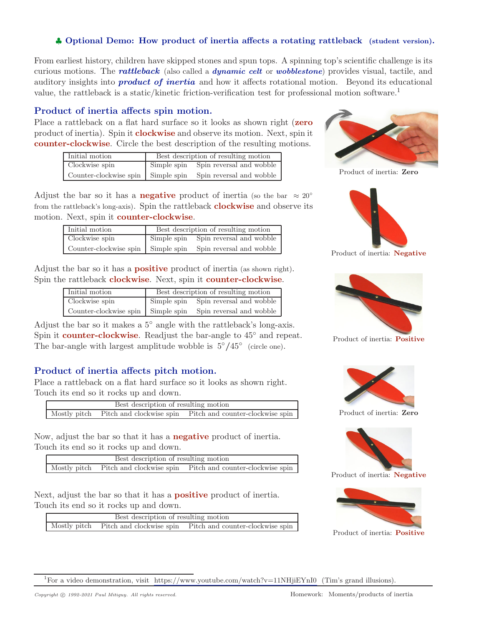#### ♣ **Optional Demo: How product of inertia affects a rotating rattleback (student version).**

From earliest history, children have skipped stones and spun tops. A spinning top's scientific challenge is its curious motions. The *rattleback* (also called a *dynamic celt* or *wobblestone*) provides visual, tactile, and auditory insights into *product of inertia* and how it affects rotational motion. Beyond its educational value, the rattleback is a static/kinetic friction-verification test for professional motion software.<sup>1</sup>

#### **Product of inertia affects spin motion.**

Place a rattleback on a flat hard surface so it looks as shown right (**zero** product of inertia). Spin it **clockwise** and observe its motion. Next, spin it **counter-clockwise**. Circle the best description of the resulting motions.

| Initial motion                     | Best description of resulting motion |
|------------------------------------|--------------------------------------|
| Clockwise spin                     | Simple spin Spin reversal and wobble |
| Counter-clockwise spin Simple spin | Spin reversal and wobble             |

Adjust the bar so it has a **negative** product of inertia (so the bar  $\approx 20^{\circ}$ ) from the rattleback's long-axis). Spin the rattleback **clockwise** and observe its motion. Next, spin it **counter-clockwise**.

| Initial motion                     | Best description of resulting motion |                          |
|------------------------------------|--------------------------------------|--------------------------|
| Clockwise spin                     | Simple spin                          | Spin reversal and wobble |
| Counter-clockwise spin Simple spin |                                      | Spin reversal and wobble |

Adjust the bar so it has a **positive** product of inertia (as shown right). Spin the rattleback **clockwise**. Next, spin it **counter-clockwise**.

| Initial motion                     | Best description of resulting motion |                          |
|------------------------------------|--------------------------------------|--------------------------|
| Clockwise spin                     | Simple spin                          | Spin reversal and wobble |
| Counter-clockwise spin Simple spin |                                      | Spin reversal and wobble |

Adjust the bar so it makes a  $5^\circ$  angle with the rattleback's long-axis. Spin it **counter-clockwise**. Readjust the bar-angle to  $45^{\circ}$  and repeat. Froduct of inertia: **Positive**<br>The bar-angle with largest amplitude wobble is  $5°/45°$  (circle one).

## **Product of inertia affects pitch motion.**

Place a rattleback on a flat hard surface so it looks as shown right. Touch its end so it rocks up and down.

| Best description of resulting motion |  |                                                                        |
|--------------------------------------|--|------------------------------------------------------------------------|
|                                      |  | Mostly pitch Pitch and clockwise spin Pitch and counter-clockwise spin |

Now, adjust the bar so that it has a **negative** product of inertia. Touch its end so it rocks up and down.

| Best description of resulting motion |  |                                                                        |
|--------------------------------------|--|------------------------------------------------------------------------|
|                                      |  | Mostly pitch Pitch and clockwise spin Pitch and counter-clockwise spin |

Next, adjust the bar so that it has a **positive** product of inertia. Touch its end so it rocks up and down.

| Best description of resulting motion |                                                                        |
|--------------------------------------|------------------------------------------------------------------------|
|                                      | Mostly pitch Pitch and clockwise spin Pitch and counter-clockwise spin |



Product of inertia: Zero



Product of inertia: **Negative** 





Product of inertia: Zero



Product of inertia: **Negative**



<sup>1</sup>For a video demonstration, visit https://www.youtube.com/watch?v=11NHjiEYnI0 (Tim's grand illusions).